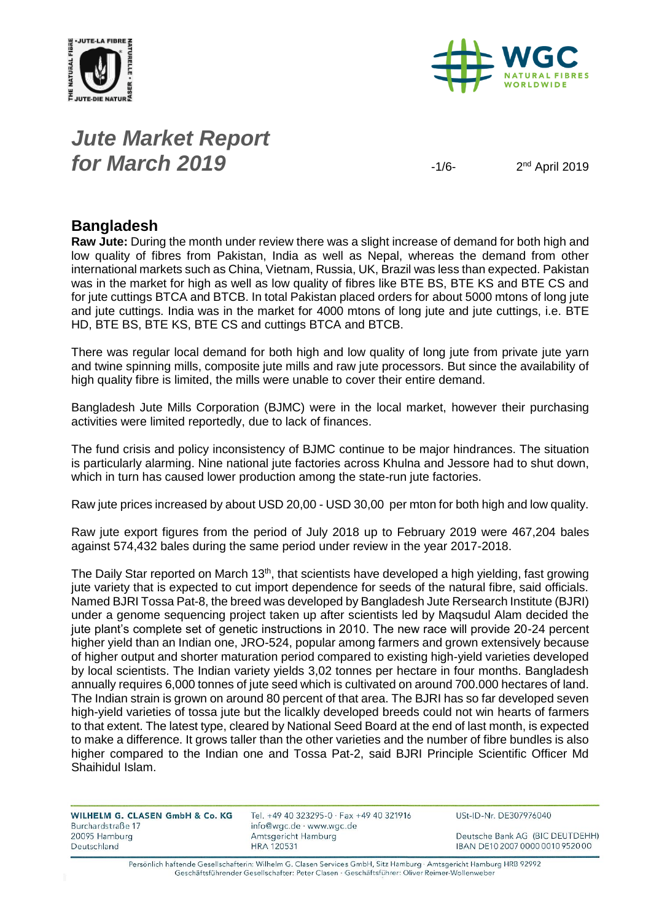



## *Jute Market Report for March* **2019**  $\frac{1}{6}$

 $2<sup>nd</sup>$  April 2019

### **Bangladesh**

**Raw Jute:** During the month under review there was a slight increase of demand for both high and low quality of fibres from Pakistan, India as well as Nepal, whereas the demand from other international markets such as China, Vietnam, Russia, UK, Brazil was less than expected. Pakistan was in the market for high as well as low quality of fibres like BTE BS, BTE KS and BTE CS and for jute cuttings BTCA and BTCB. In total Pakistan placed orders for about 5000 mtons of long jute and jute cuttings. India was in the market for 4000 mtons of long jute and jute cuttings, i.e. BTE HD, BTE BS, BTE KS, BTE CS and cuttings BTCA and BTCB.

There was regular local demand for both high and low quality of long jute from private jute yarn and twine spinning mills, composite jute mills and raw jute processors. But since the availability of high quality fibre is limited, the mills were unable to cover their entire demand.

Bangladesh Jute Mills Corporation (BJMC) were in the local market, however their purchasing activities were limited reportedly, due to lack of finances.

The fund crisis and policy inconsistency of BJMC continue to be major hindrances. The situation is particularly alarming. Nine national jute factories across Khulna and Jessore had to shut down, which in turn has caused lower production among the state-run jute factories.

Raw jute prices increased by about USD 20,00 - USD 30,00 per mton for both high and low quality.

Raw jute export figures from the period of July 2018 up to February 2019 were 467,204 bales against 574,432 bales during the same period under review in the year 2017-2018.

The Daily Star reported on March 13<sup>th</sup>, that scientists have developed a high yielding, fast growing jute variety that is expected to cut import dependence for seeds of the natural fibre, said officials. Named BJRI Tossa Pat-8, the breed was developed by Bangladesh Jute Rersearch Institute (BJRI) under a genome sequencing project taken up after scientists led by Maqsudul Alam decided the jute plant's complete set of genetic instructions in 2010. The new race will provide 20-24 percent higher yield than an Indian one, JRO-524, popular among farmers and grown extensively because of higher output and shorter maturation period compared to existing high-yield varieties developed by local scientists. The Indian variety yields 3,02 tonnes per hectare in four months. Bangladesh annually requires 6,000 tonnes of jute seed which is cultivated on around 700.000 hectares of land. The Indian strain is grown on around 80 percent of that area. The BJRI has so far developed seven high-yield varieties of tossa jute but the licalkly developed breeds could not win hearts of farmers to that extent. The latest type, cleared by National Seed Board at the end of last month, is expected to make a difference. It grows taller than the other varieties and the number of fibre bundles is also higher compared to the Indian one and Tossa Pat-2, said BJRI Principle Scientific Officer Md Shaihidul Islam.

| WILHELM G. CLASEN GmbH & Co. KG | Tel. +49 40 323295-0 $\cdot$ Fax +49 40 321916 | USt-ID-Nr. DE307976040           |
|---------------------------------|------------------------------------------------|----------------------------------|
| Burchardstraße 17               | info@wgc.de · www.wgc.de                       |                                  |
| 20095 Hamburg                   | Amtsgericht Hamburg                            | Deutsche Bank AG (BIC DEUTDEHH)  |
| Deutschland                     | HRA 120531                                     | IBAN DE10 2007 0000 0010 9520 00 |
|                                 |                                                |                                  |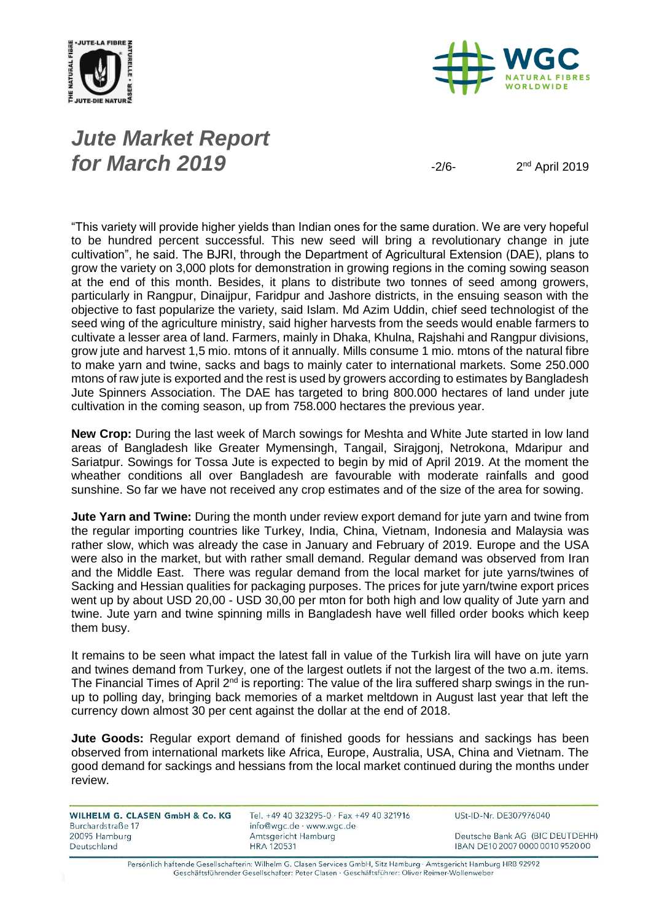



## *Jute Market Report for March* **2019**  $\frac{1}{2}$

 $2<sup>nd</sup>$  April 2019

"This variety will provide higher yields than Indian ones for the same duration. We are very hopeful to be hundred percent successful. This new seed will bring a revolutionary change in jute cultivation", he said. The BJRI, through the Department of Agricultural Extension (DAE), plans to grow the variety on 3,000 plots for demonstration in growing regions in the coming sowing season at the end of this month. Besides, it plans to distribute two tonnes of seed among growers, particularly in Rangpur, Dinaijpur, Faridpur and Jashore districts, in the ensuing season with the objective to fast popularize the variety, said Islam. Md Azim Uddin, chief seed technologist of the seed wing of the agriculture ministry, said higher harvests from the seeds would enable farmers to cultivate a lesser area of land. Farmers, mainly in Dhaka, Khulna, Rajshahi and Rangpur divisions, grow jute and harvest 1,5 mio. mtons of it annually. Mills consume 1 mio. mtons of the natural fibre to make yarn and twine, sacks and bags to mainly cater to international markets. Some 250.000 mtons of raw jute is exported and the rest is used by growers according to estimates by Bangladesh Jute Spinners Association. The DAE has targeted to bring 800.000 hectares of land under jute cultivation in the coming season, up from 758.000 hectares the previous year.

**New Crop:** During the last week of March sowings for Meshta and White Jute started in low land areas of Bangladesh like Greater Mymensingh, Tangail, Sirajgonj, Netrokona, Mdaripur and Sariatpur. Sowings for Tossa Jute is expected to begin by mid of April 2019. At the moment the wheather conditions all over Bangladesh are favourable with moderate rainfalls and good sunshine. So far we have not received any crop estimates and of the size of the area for sowing.

**Jute Yarn and Twine:** During the month under review export demand for jute yarn and twine from the regular importing countries like Turkey, India, China, Vietnam, Indonesia and Malaysia was rather slow, which was already the case in January and February of 2019. Europe and the USA were also in the market, but with rather small demand. Regular demand was observed from Iran and the Middle East. There was regular demand from the local market for jute yarns/twines of Sacking and Hessian qualities for packaging purposes. The prices for jute yarn/twine export prices went up by about USD 20,00 - USD 30,00 per mton for both high and low quality of Jute yarn and twine. Jute yarn and twine spinning mills in Bangladesh have well filled order books which keep them busy.

It remains to be seen what impact the latest fall in value of the Turkish lira will have on jute yarn and twines demand from Turkey, one of the largest outlets if not the largest of the two a.m. items. The Financial Times of April 2<sup>nd</sup> is reporting: The value of the lira suffered sharp swings in the runup to polling day, bringing back memories of a market meltdown in August last year that left the currency down almost 30 per cent against the dollar at the end of 2018.

**Jute Goods:** Regular export demand of finished goods for hessians and sackings has been observed from international markets like Africa, Europe, Australia, USA, China and Vietnam. The good demand for sackings and hessians from the local market continued during the months under review.

WILHELM G. CLASEN GmbH & Co. KG Burchardstraße 17 20095 Hamburg Deutschland

Tel. +49 40 323295-0 · Fax +49 40 321916 info@wgc.de · www.wgc.de Amtsgericht Hamburg **HRA 120531** 

USt-ID-Nr. DE307976040

Deutsche Bank AG (BIC DEUTDEHH) IBAN DE10 2007 0000 0010 9520 00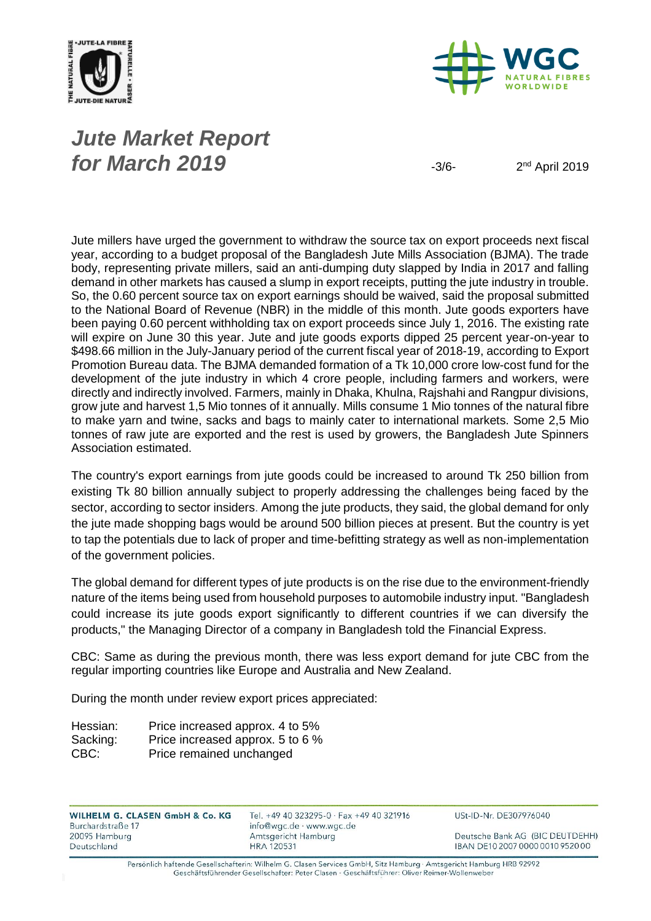



## *Jute Market Report for March* **2019**  $\frac{3}{6}$

 $2<sup>nd</sup>$  April 2019

Jute millers have urged the government to withdraw the source tax on export proceeds next fiscal year, according to a budget proposal of the Bangladesh Jute Mills Association (BJMA). The trade body, representing private millers, said an anti-dumping duty slapped by India in 2017 and falling demand in other markets has caused a slump in export receipts, putting the jute industry in trouble. So, the 0.60 percent source tax on export earnings should be waived, said the proposal submitted to the National Board of Revenue (NBR) in the middle of this month. Jute goods exporters have been paying 0.60 percent withholding tax on export proceeds since July 1, 2016. The existing rate will expire on June 30 this year. Jute and jute goods exports dipped 25 percent year-on-year to \$498.66 million in the July-January period of the current fiscal year of 2018-19, according to Export Promotion Bureau data. The BJMA demanded formation of a Tk 10,000 crore low-cost fund for the development of the jute industry in which 4 crore people, including farmers and workers, were directly and indirectly involved. Farmers, mainly in Dhaka, Khulna, Rajshahi and Rangpur divisions, grow jute and harvest 1,5 Mio tonnes of it annually. Mills consume 1 Mio tonnes of the natural fibre to make yarn and twine, sacks and bags to mainly cater to international markets. Some 2,5 Mio tonnes of raw jute are exported and the rest is used by growers, the Bangladesh Jute Spinners Association estimated.

The country's export earnings from jute goods could be increased to around Tk 250 billion from existing Tk 80 billion annually subject to properly addressing the challenges being faced by the sector, according to sector insiders. Among the jute products, they said, the global demand for only the jute made shopping bags would be around 500 billion pieces at present. But the country is yet to tap the potentials due to lack of proper and time-befitting strategy as well as non-implementation of the government policies.

The global demand for different types of jute products is on the rise due to the environment-friendly nature of the items being used from household purposes to automobile industry input. "Bangladesh could increase its jute goods export significantly to different countries if we can diversify the products," the Managing Director of a company in Bangladesh told the Financial Express.

CBC: Same as during the previous month, there was less export demand for jute CBC from the regular importing countries like Europe and Australia and New Zealand.

During the month under review export prices appreciated:

| Hessian: | Price increased approx. 4 to 5%  |
|----------|----------------------------------|
| Sacking: | Price increased approx. 5 to 6 % |
| CBC:     | Price remained unchanged         |

WILHELM G. CLASEN GmbH & Co. KG Burchardstraße 17 20095 Hamburg Deutschland

Tel. +49 40 323295-0 · Fax +49 40 321916 info@wgc.de · www.wgc.de Amtsgericht Hamburg **HRA 120531** 

USt-ID-Nr. DE307976040

Deutsche Bank AG (BIC DEUTDEHH) IBAN DE10 2007 0000 0010 9520 00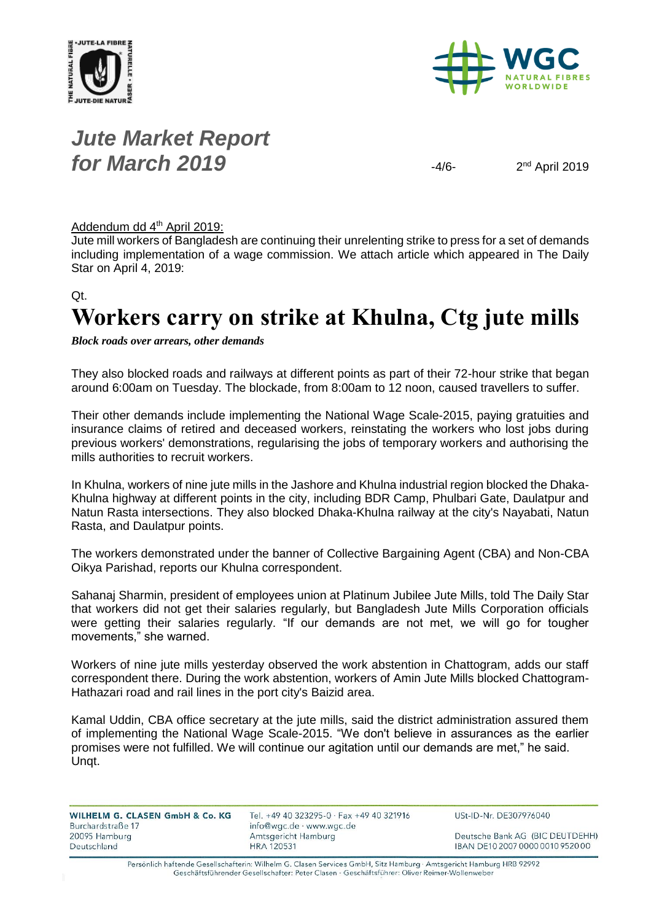



## *Jute Market Report for March* **2019**  $\frac{4}{6}$

 $2<sup>nd</sup>$  April 2019

#### Addendum dd 4<sup>th</sup> April 2019:

Jute mill workers of Bangladesh are continuing their unrelenting strike to press for a set of demands including implementation of a wage commission. We attach article which appeared in The Daily Star on April 4, 2019:

#### Qt.

# **Workers carry on strike at Khulna, Ctg jute mills**

*Block roads over arrears, other demands*

They also blocked roads and railways at different points as part of their 72-hour strike that began around 6:00am on Tuesday. The blockade, from 8:00am to 12 noon, caused travellers to suffer.

Their other demands include implementing the National Wage Scale-2015, paying gratuities and insurance claims of retired and deceased workers, reinstating the workers who lost jobs during previous workers' demonstrations, regularising the jobs of temporary workers and authorising the mills authorities to recruit workers.

In Khulna, workers of nine jute mills in the Jashore and Khulna industrial region blocked the Dhaka-Khulna highway at different points in the city, including BDR Camp, Phulbari Gate, Daulatpur and Natun Rasta intersections. They also blocked Dhaka-Khulna railway at the city's Nayabati, Natun Rasta, and Daulatpur points.

The workers demonstrated under the banner of Collective Bargaining Agent (CBA) and Non-CBA Oikya Parishad, reports our Khulna correspondent.

Sahanaj Sharmin, president of employees union at Platinum Jubilee Jute Mills, told The Daily Star that workers did not get their salaries regularly, but Bangladesh Jute Mills Corporation officials were getting their salaries regularly. "If our demands are not met, we will go for tougher movements," she warned.

Workers of nine jute mills yesterday observed the work abstention in Chattogram, adds our staff correspondent there. During the work abstention, workers of Amin Jute Mills blocked Chattogram-Hathazari road and rail lines in the port city's Baizid area.

Kamal Uddin, CBA office secretary at the jute mills, said the district administration assured them of implementing the National Wage Scale-2015. "We don't believe in assurances as the earlier promises were not fulfilled. We will continue our agitation until our demands are met," he said. Unqt.

| info@wgc.de · www.wgc.de<br>Burchardstraße 17                            |                                                                     |
|--------------------------------------------------------------------------|---------------------------------------------------------------------|
| Amtsgericht Hamburg<br>20095 Hamburg<br>Deutschland<br><b>HRA 120531</b> | Deutsche Bank AG (BIC DEUTDEHH)<br>IBAN DE10 2007 0000 0010 9520 00 |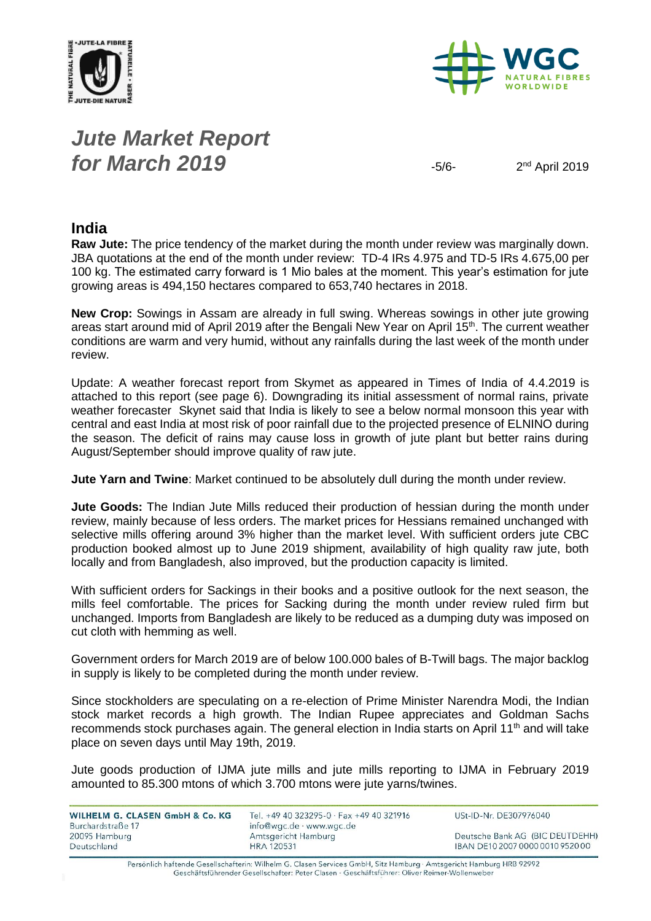



## *Jute Market Report for March* **2019**  $-5/6$

 $2<sup>nd</sup>$  April 2019

### **India**

**Raw Jute:** The price tendency of the market during the month under review was marginally down. JBA quotations at the end of the month under review: TD-4 IRs 4.975 and TD-5 IRs 4.675,00 per 100 kg. The estimated carry forward is 1 Mio bales at the moment. This year's estimation for jute growing areas is 494,150 hectares compared to 653,740 hectares in 2018.

**New Crop:** Sowings in Assam are already in full swing. Whereas sowings in other jute growing areas start around mid of April 2019 after the Bengali New Year on April 15<sup>th</sup>. The current weather conditions are warm and very humid, without any rainfalls during the last week of the month under review.

Update: A weather forecast report from Skymet as appeared in Times of India of 4.4.2019 is attached to this report (see page 6). Downgrading its initial assessment of normal rains, private weather forecaster Skynet said that India is likely to see a below normal monsoon this year with central and east India at most risk of poor rainfall due to the projected presence of ELNINO during the season. The deficit of rains may cause loss in growth of jute plant but better rains during August/September should improve quality of raw jute.

**Jute Yarn and Twine**: Market continued to be absolutely dull during the month under review.

**Jute Goods:** The Indian Jute Mills reduced their production of hessian during the month under review, mainly because of less orders. The market prices for Hessians remained unchanged with selective mills offering around 3% higher than the market level. With sufficient orders jute CBC production booked almost up to June 2019 shipment, availability of high quality raw jute, both locally and from Bangladesh, also improved, but the production capacity is limited.

With sufficient orders for Sackings in their books and a positive outlook for the next season, the mills feel comfortable. The prices for Sacking during the month under review ruled firm but unchanged. Imports from Bangladesh are likely to be reduced as a dumping duty was imposed on cut cloth with hemming as well.

Government orders for March 2019 are of below 100.000 bales of B-Twill bags. The major backlog in supply is likely to be completed during the month under review.

Since stockholders are speculating on a re-election of Prime Minister Narendra Modi, the Indian stock market records a high growth. The Indian Rupee appreciates and Goldman Sachs recommends stock purchases again. The general election in India starts on April 11<sup>th</sup> and will take place on seven days until May 19th, 2019.

Jute goods production of IJMA jute mills and jute mills reporting to IJMA in February 2019 amounted to 85.300 mtons of which 3.700 mtons were jute yarns/twines.

| WILHELM G. CLASEN GmbH & Co. KG | Tel. +49 40 323295-0 · Fax +49 40 321916 | USt-ID-Nr. DE307976040           |
|---------------------------------|------------------------------------------|----------------------------------|
| Burchardstraße 17               | info@wgc.de · www.wgc.de                 |                                  |
| 20095 Hamburg                   | Amtsgericht Hamburg                      | Deutsche Bank AG (BIC DEUTDEHH)  |
| Deutschland                     | <b>HRA 120531</b>                        | IBAN DE10 2007 0000 0010 9520 00 |